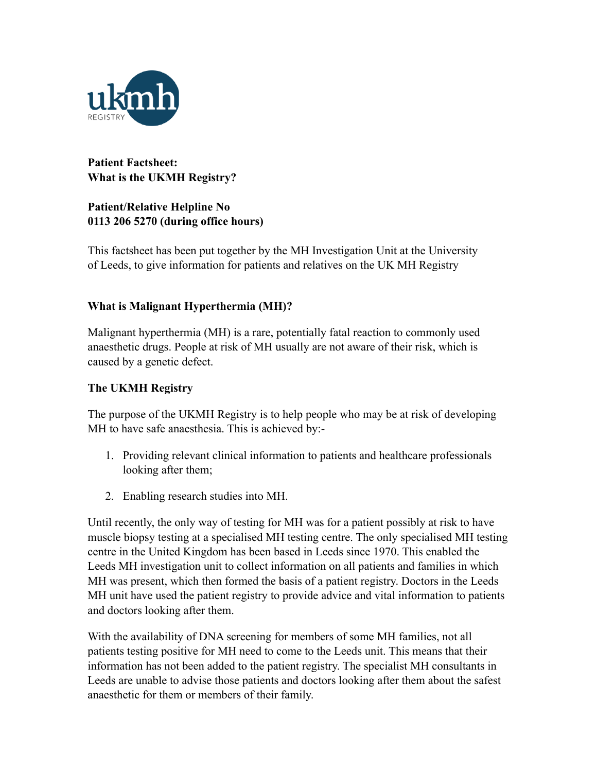

# **Patient Factsheet: What is the UKMH Registry?**

## **Patient/Relative Helpline No 0113 206 5270 (during office hours)**

This factsheet has been put together by the MH Investigation Unit at the University of Leeds, to give information for patients and relatives on the UK MH Registry

# **What is Malignant Hyperthermia (MH)?**

Malignant hyperthermia (MH) is a rare, potentially fatal reaction to commonly used anaesthetic drugs. People at risk of MH usually are not aware of their risk, which is caused by a genetic defect.

### **The UKMH Registry**

The purpose of the UKMH Registry is to help people who may be at risk of developing MH to have safe anaesthesia. This is achieved by:-

- 1. Providing relevant clinical information to patients and healthcare professionals looking after them;
- 2. Enabling research studies into MH.

Until recently, the only way of testing for MH was for a patient possibly at risk to have muscle biopsy testing at a specialised MH testing centre. The only specialised MH testing centre in the United Kingdom has been based in Leeds since 1970. This enabled the Leeds MH investigation unit to collect information on all patients and families in which MH was present, which then formed the basis of a patient registry. Doctors in the Leeds MH unit have used the patient registry to provide advice and vital information to patients and doctors looking after them.

With the availability of DNA screening for members of some MH families, not all patients testing positive for MH need to come to the Leeds unit. This means that their information has not been added to the patient registry. The specialist MH consultants in Leeds are unable to advise those patients and doctors looking after them about the safest anaesthetic for them or members of their family.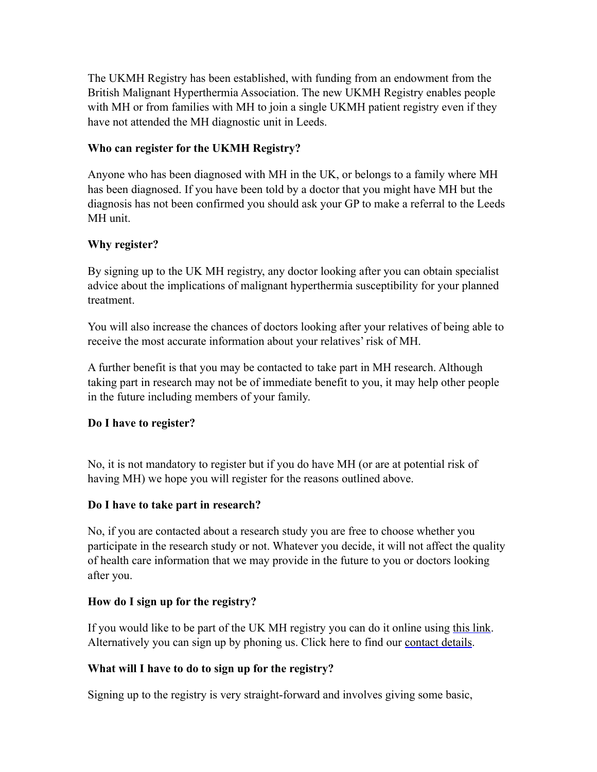The UKMH Registry has been established, with funding from an endowment from the British Malignant Hyperthermia Association. The new UKMH Registry enables people with MH or from families with MH to join a single UKMH patient registry even if they have not attended the MH diagnostic unit in Leeds.

## **Who can register for the UKMH Registry?**

Anyone who has been diagnosed with MH in the UK, or belongs to a family where MH has been diagnosed. If you have been told by a doctor that you might have MH but the diagnosis has not been confirmed you should ask your GP to make a referral to the Leeds MH unit.

### **Why register?**

By signing up to the UK MH registry, any doctor looking after you can obtain specialist advice about the implications of malignant hyperthermia susceptibility for your planned treatment.

You will also increase the chances of doctors looking after your relatives of being able to receive the most accurate information about your relatives' risk of MH.

A further benefit is that you may be contacted to take part in MH research. Although taking part in research may not be of immediate benefit to you, it may help other people in the future including members of your family.

#### **Do I have to register?**

No, it is not mandatory to register but if you do have MH (or are at potential risk of having MH) we hope you will register for the reasons outlined above.

#### **Do I have to take part in research?**

No, if you are contacted about a research study you are free to choose whether you participate in the research study or not. Whatever you decide, it will not affect the quality of health care information that we may provide in the future to you or doctors looking after you.

#### **How do I sign up for the registry?**

If you would like to be part of the UK MH registry you can do it online using [this link.](http://www.ukmhr.ac.uk/registry/) Alternatively you can sign up by phoning us. Click here to find our [contact details](http://www.ukmhr.ac.uk/contact/).

# **What will I have to do to sign up for the registry?**

Signing up to the registry is very straight-forward and involves giving some basic,